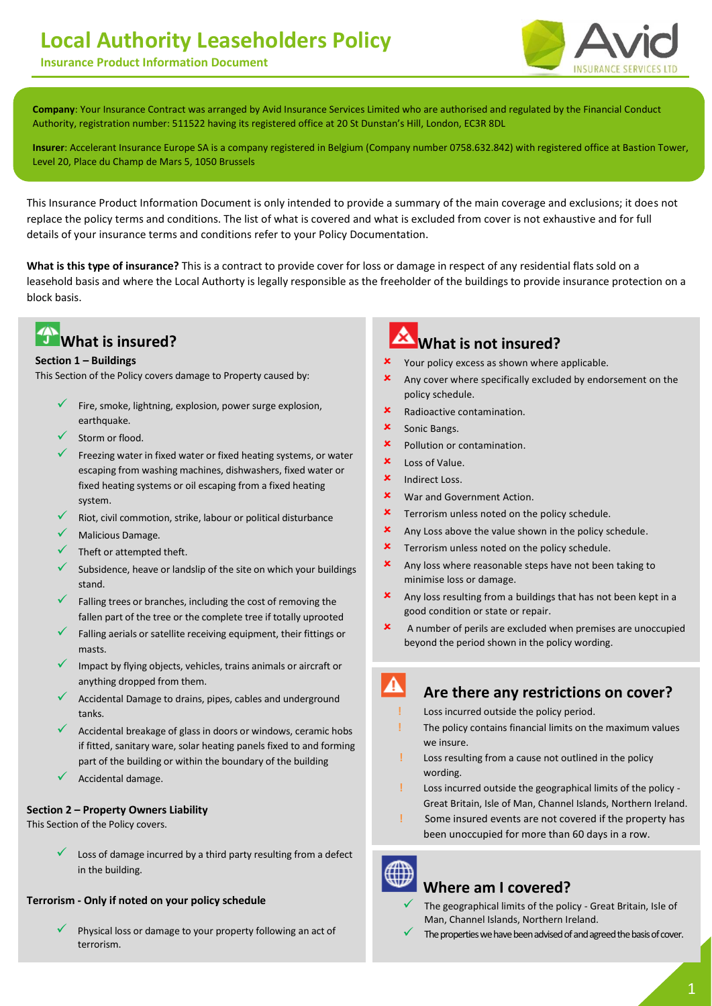# **Local Authority Leaseholders Policy**

**Insurance Product Information Document**



 **Company**: Your Insurance Contract was arranged by Avid Insurance Services Limited who are authorised and regulated by the Financial Conduct Authority, registration number: 511522 having its registered office at 20 St Dunstan's Hill, London, EC3R 8DL

**Insurer**: Accelerant Insurance Europe SA is a company registered in Belgium (Company number 0758.632.842) with registered office at Bastion Tower, Level 20, Place du Champ de Mars 5, 1050 Brussels

This Insurance Product Information Document is only intended to provide a summary of the main coverage and exclusions; it does not replace the policy terms and conditions. The list of what is covered and what is excluded from cover is not exhaustive and for full details of your insurance terms and conditions refer to your Policy Documentation.

**Product**: This is a contract to provide cover for loss or damage in respect of any residential flats sold on a leasehold basis and where you are legally

**What is this type of insurance?** This is a contract to provide cover for loss or damage in respect of any residential flats sold on a leasehold basis and where the Local Authorty is legally responsible as the freeholder of the buildings to provide insurance protection on a block basis.

# **What is insured?**

#### **Section 1 – Buildings**

This Section of the Policy covers damage to Property caused by:

- Fire, smoke, lightning, explosion, power surge explosion, earthquake.
- Storm or flood.
- Freezing water in fixed water or fixed heating systems, or water escaping from washing machines, dishwashers, fixed water or fixed heating systems or oil escaping from a fixed heating system.
- Riot, civil commotion, strike, labour or political disturbance
- Malicious Damage.
- Theft or attempted theft.
- Subsidence, heave or landslip of the site on which your buildings stand.
- Falling trees or branches, including the cost of removing the fallen part of the tree or the complete tree if totally uprooted
- Falling aerials or satellite receiving equipment, their fittings or masts.
- Impact by flying objects, vehicles, trains animals or aircraft or anything dropped from them.
- Accidental Damage to drains, pipes, cables and underground tanks.
- $\checkmark$  Accidental breakage of glass in doors or windows, ceramic hobs if fitted, sanitary ware, solar heating panels fixed to and forming part of the building or within the boundary of the building
- Accidental damage.

#### **Section 2 – Property Owners Liability**

This Section of the Policy covers.

 Loss of damage incurred by a third party resulting from a defect in the building.

#### **Terrorism - Only if noted on your policy schedule**

 Physical loss or damage to your property following an act of terrorism.

# **What is not insured?**

- Your policy excess as shown where applicable.
- Any cover where specifically excluded by endorsement on the policy schedule.
- Radioactive contamination.
- **x** Sonic Bangs.
- **\*** Pollution or contamination.
- Loss of Value.
- **x** Indirect Loss.
- **x** War and Government Action.
- **\*** Terrorism unless noted on the policy schedule.
- $x$  Any Loss above the value shown in the policy schedule.
- **x** Terrorism unless noted on the policy schedule.
- **x** Any loss where reasonable steps have not been taking to minimise loss or damage.
- Any loss resulting from a buildings that has not been kept in a good condition or state or repair.
- A number of perils are excluded when premises are unoccupied beyond the period shown in the policy wording.

#### **Are there any restrictions on cover?**

- **!** Loss incurred outside the policy period.
- **!** The policy contains financial limits on the maximum values we insure.
- **!** Loss resulting from a cause not outlined in the policy wording.
- **!** Loss incurred outside the geographical limits of the policy Great Britain, Isle of Man, Channel Islands, Northern Ireland.
- **!** Some insured events are not covered if the property has been unoccupied for more than 60 days in a row.



### **Where am I covered?**

- The geographical limits of the policy Great Britain, Isle of Man, Channel Islands, Northern Ireland.
- The properties we have been advised of and agreed the basis of cover.